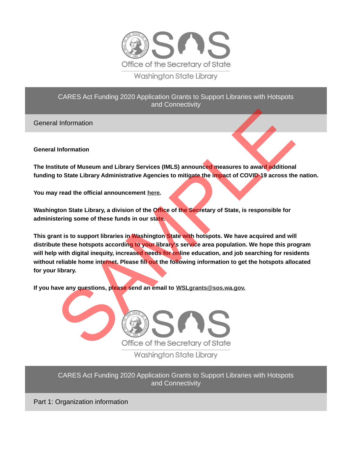

CARES Act Funding 2020 Application Grants to Support Libraries with Hotspots and Connectivity

General Information

**General Information**

**The Institute of Museum and Library Services (IMLS) announced measures to award additional funding to State Library Administrative Agencies to mitigate the impact of COVID-19 across the nation.**

**You may read the official announcement here.** 

**Washington State Library, a division of the Office of the Secretary of State, is responsible for administering some of these funds in our state.** 

**This grant is to support libraries in Washington State with hotspots. We have acquired and will distribute these hotspots according to your library's service area population. We hope this program will help with digital inequity, increased needs for online education, and job searching for residents without reliable home internet. Please fill out the following information to get the hotspots allocated for your library.** Il Information<br>
Information<br>
titute of Museum and Library Services (IMLS) announced measures to award additional<br>
to State Library Administrative Agencies to mitigate the Impact of COVID-19 across the<br>
ty read the official

**If you have any questions, please send an email to WSLgrants@sos.wa.gov.**



CARES Act Funding 2020 Application Grants to Support Libraries with Hotspots and Connectivity

Part 1: Organization information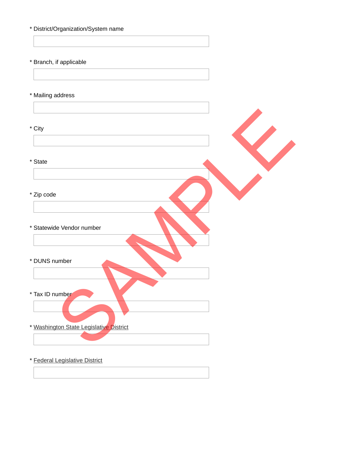- \* District/Organization/System name
- \* Branch, if applicable

\* Mailing address

\* City

\* State

- Zip code\*
- \* Statewide Vendor number
- \* DUNS number
- \* Tax ID number
- \* [Washington State Legislative District](https://app.leg.wa.gov/districtfinder/) Inches Condor number<br>Umber<br>Umber Constate Legislative District
- \* [Federal Legislative District](https://app.leg.wa.gov/districtfinder/)
	-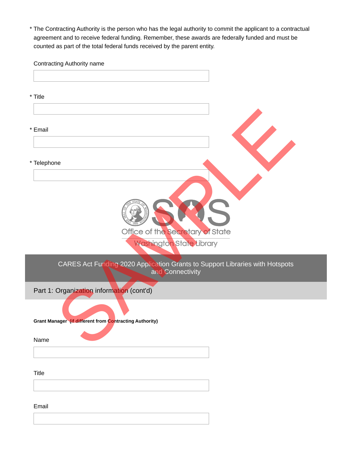The Contracting Authority is the person who has the legal authority to commit the applicant to a contractual \* agreement and to receive federal funding. Remember, these awards are federally funded and must be counted as part of the total federal funds received by the parent entity.

Contracting Authority name \* Title \* Email \* Telephone Part 1: Organization information (cont'd) CARES Act Funding 2020 Application Grants to Support Libraries with Hotspots and Connectivity **Grant Manager (if different from Contracting Authority)** Name **Title CONSTRACT SPRING** Washington State Library THE CONTROL CONTROL CONTROL CONTROL CONTROL CONTROL CONTROL CONTROL CONTROL CONTROL CONTROL CONTROL CONTROL CONTROL CONTROL CONTROL CONTROL CONTROL CONTROL CONTROL CONTROL CONTROL CONTROL CONTROL CONTROL CONTROL CONTROL CO

Email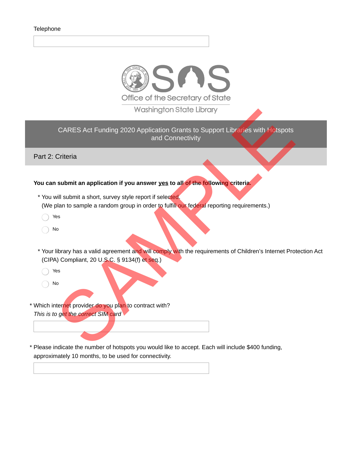

CARES Act Funding 2020 Application Grants to Support Libraries with Hotspots and Connectivity WGShington State Libraries with Hotspots<br>
and Connectivity<br>
Criteria<br>
submit an application if you answer yes to all of the following criteria<br>
submit an application if you answer yes to all of the following criteria<br>
will

Part 2: Criteria

## **You can submit an application if you answer yes to all of the following criteria.**

- \* You will submit a short, survey style report if selected. (We plan to sample a random group in order to fulfill our federal reporting requirements.)
	- Yes  $\bigcirc$
	- No  $\bigcirc$
- \* Your library has a valid agreement and will comply with the requirements of Children's Internet Protection Act (CIPA) Compliant, 20 U.S.C. § 9134(f) et seq.)

Yes  $\bigcirc$ 

No  $\bigcirc$ 

\* Which inter<mark>net</mark> provider do you pl<mark>an</mark> to contract with? *This is to get the correct SIM card*

Please indicate the number of hotspots you would like to accept. Each will include \$400 funding, \* approximately 10 months, to be used for connectivity.